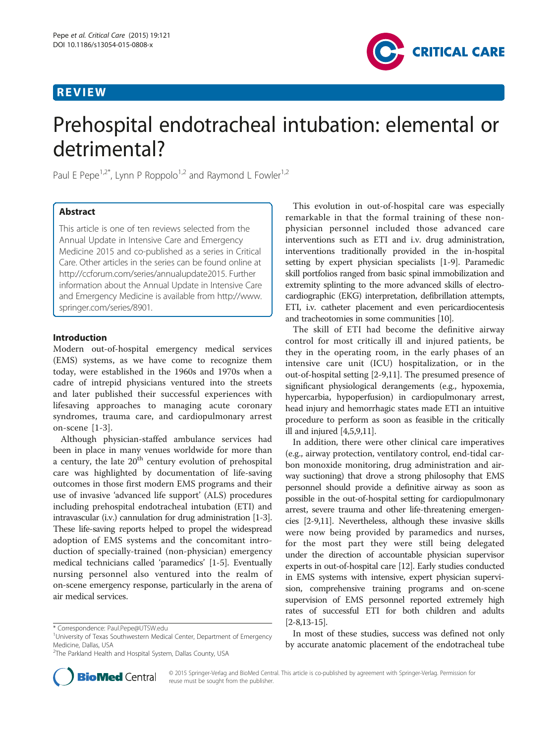## REVIEW



# Prehospital endotracheal intubation: elemental or detrimental?

Paul E Pepe<sup>1,2\*</sup>, Lynn P Roppolo<sup>1,2</sup> and Raymond L Fowler<sup>1,2</sup>

## Abstract

This article is one of ten reviews selected from the Annual Update in Intensive Care and Emergency Medicine 2015 and co-published as a series in Critical Care. Other articles in the series can be found online at <http://ccforum.com/series/annualupdate2015>. Further information about the Annual Update in Intensive Care and Emergency Medicine is available from [http://www.](http://www.springer.com/series/8901) [springer.com/series/8901](http://www.springer.com/series/8901).

### Introduction

Modern out-of-hospital emergency medical services (EMS) systems, as we have come to recognize them today, were established in the 1960s and 1970s when a cadre of intrepid physicians ventured into the streets and later published their successful experiences with lifesaving approaches to managing acute coronary syndromes, trauma care, and cardiopulmonary arrest on-scene [\[1](#page-5-0)-[3\]](#page-5-0).

Although physician-staffed ambulance services had been in place in many venues worldwide for more than a century, the late  $20^{th}$  century evolution of prehospital care was highlighted by documentation of life-saving outcomes in those first modern EMS programs and their use of invasive 'advanced life support' (ALS) procedures including prehospital endotracheal intubation (ETI) and intravascular (i.v.) cannulation for drug administration [[1-3](#page-5-0)]. These life-saving reports helped to propel the widespread adoption of EMS systems and the concomitant introduction of specially-trained (non-physician) emergency medical technicians called 'paramedics' [\[1](#page-5-0)-[5\]](#page-5-0). Eventually nursing personnel also ventured into the realm of on-scene emergency response, particularly in the arena of air medical services.



This evolution in out-of-hospital care was especially

The skill of ETI had become the definitive airway control for most critically ill and injured patients, be they in the operating room, in the early phases of an intensive care unit (ICU) hospitalization, or in the out-of-hospital setting [\[2](#page-5-0)-[9,11](#page-5-0)]. The presumed presence of significant physiological derangements (e.g., hypoxemia, hypercarbia, hypoperfusion) in cardiopulmonary arrest, head injury and hemorrhagic states made ETI an intuitive procedure to perform as soon as feasible in the critically ill and injured [\[4,5,9,11\]](#page-5-0).

In addition, there were other clinical care imperatives (e.g., airway protection, ventilatory control, end-tidal carbon monoxide monitoring, drug administration and airway suctioning) that drove a strong philosophy that EMS personnel should provide a definitive airway as soon as possible in the out-of-hospital setting for cardiopulmonary arrest, severe trauma and other life-threatening emergencies [\[2-9,11](#page-5-0)]. Nevertheless, although these invasive skills were now being provided by paramedics and nurses, for the most part they were still being delegated under the direction of accountable physician supervisor experts in out-of-hospital care [\[12\]](#page-5-0). Early studies conducted in EMS systems with intensive, expert physician supervision, comprehensive training programs and on-scene supervision of EMS personnel reported extremely high rates of successful ETI for both children and adults [[2](#page-5-0)-[8,13-15\]](#page-5-0).

In most of these studies, success was defined not only by accurate anatomic placement of the endotracheal tube



<sup>\*</sup> Correspondence: [Paul.Pepe@UTSW.edu](mailto:Paul.Pepe@UTSW.edu) <sup>1</sup>

<sup>&</sup>lt;sup>1</sup>University of Texas Southwestern Medical Center, Department of Emergency Medicine, Dallas, USA

<sup>&</sup>lt;sup>2</sup>The Parkland Health and Hospital System, Dallas County, USA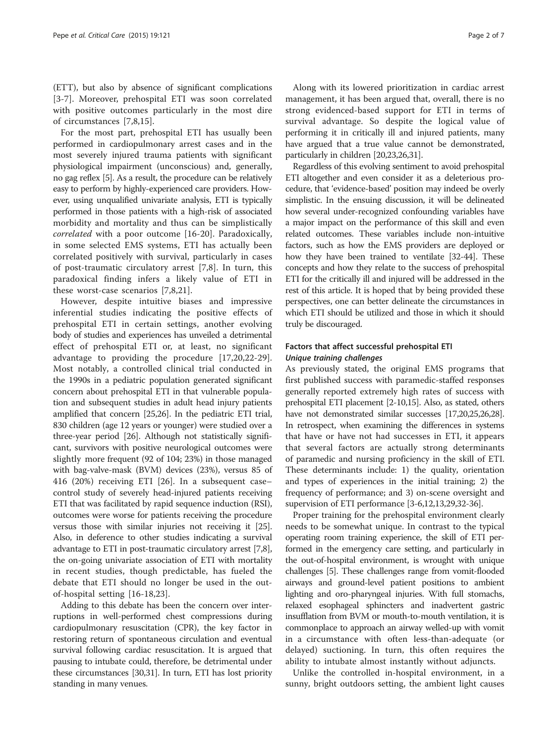(ETT), but also by absence of significant complications [[3-7\]](#page-5-0). Moreover, prehospital ETI was soon correlated with positive outcomes particularly in the most dire of circumstances [[7,8,15](#page-5-0)].

For the most part, prehospital ETI has usually been performed in cardiopulmonary arrest cases and in the most severely injured trauma patients with significant physiological impairment (unconscious) and, generally, no gag reflex [\[5](#page-5-0)]. As a result, the procedure can be relatively easy to perform by highly-experienced care providers. However, using unqualified univariate analysis, ETI is typically performed in those patients with a high-risk of associated morbidity and mortality and thus can be simplistically correlated with a poor outcome [[16](#page-5-0)-[20\]](#page-5-0). Paradoxically, in some selected EMS systems, ETI has actually been correlated positively with survival, particularly in cases of post-traumatic circulatory arrest [\[7](#page-5-0),[8\]](#page-5-0). In turn, this paradoxical finding infers a likely value of ETI in these worst-case scenarios [[7,8,21](#page-5-0)].

However, despite intuitive biases and impressive inferential studies indicating the positive effects of prehospital ETI in certain settings, another evolving body of studies and experiences has unveiled a detrimental effect of prehospital ETI or, at least, no significant advantage to providing the procedure [[17,20,22-](#page-5-0)[29](#page-6-0)]. Most notably, a controlled clinical trial conducted in the 1990s in a pediatric population generated significant concern about prehospital ETI in that vulnerable population and subsequent studies in adult head injury patients amplified that concern [\[25,26](#page-5-0)]. In the pediatric ETI trial, 830 children (age 12 years or younger) were studied over a three-year period [\[26\]](#page-5-0). Although not statistically significant, survivors with positive neurological outcomes were slightly more frequent (92 of 104; 23%) in those managed with bag-valve-mask (BVM) devices (23%), versus 85 of 416 (20%) receiving ETI [\[26](#page-5-0)]. In a subsequent case– control study of severely head-injured patients receiving ETI that was facilitated by rapid sequence induction (RSI), outcomes were worse for patients receiving the procedure versus those with similar injuries not receiving it [[25](#page-5-0)]. Also, in deference to other studies indicating a survival advantage to ETI in post-traumatic circulatory arrest [[7](#page-5-0),[8](#page-5-0)], the on-going univariate association of ETI with mortality in recent studies, though predictable, has fueled the debate that ETI should no longer be used in the outof-hospital setting [\[16](#page-5-0)-[18,23](#page-5-0)].

Adding to this debate has been the concern over interruptions in well-performed chest compressions during cardiopulmonary resuscitation (CPR), the key factor in restoring return of spontaneous circulation and eventual survival following cardiac resuscitation. It is argued that pausing to intubate could, therefore, be detrimental under these circumstances [[30,31](#page-6-0)]. In turn, ETI has lost priority standing in many venues.

Along with its lowered prioritization in cardiac arrest management, it has been argued that, overall, there is no strong evidenced-based support for ETI in terms of survival advantage. So despite the logical value of performing it in critically ill and injured patients, many have argued that a true value cannot be demonstrated, particularly in children [[20,23,26,](#page-5-0)[31](#page-6-0)].

Regardless of this evolving sentiment to avoid prehospital ETI altogether and even consider it as a deleterious procedure, that 'evidence-based' position may indeed be overly simplistic. In the ensuing discussion, it will be delineated how several under-recognized confounding variables have a major impact on the performance of this skill and even related outcomes. These variables include non-intuitive factors, such as how the EMS providers are deployed or how they have been trained to ventilate [\[32-44\]](#page-6-0). These concepts and how they relate to the success of prehospital ETI for the critically ill and injured will be addressed in the rest of this article. It is hoped that by being provided these perspectives, one can better delineate the circumstances in which ETI should be utilized and those in which it should truly be discouraged.

# Factors that affect successful prehospital ETI

As previously stated, the original EMS programs that first published success with paramedic-staffed responses generally reported extremely high rates of success with prehospital ETI placement [\[2](#page-5-0)-[10,15](#page-5-0)]. Also, as stated, others have not demonstrated similar successes [\[17,20,25,26](#page-5-0)[,28](#page-6-0)]. In retrospect, when examining the differences in systems that have or have not had successes in ETI, it appears that several factors are actually strong determinants of paramedic and nursing proficiency in the skill of ETI. These determinants include: 1) the quality, orientation and types of experiences in the initial training; 2) the frequency of performance; and 3) on-scene oversight and supervision of ETI performance [[3-6,12](#page-5-0),[13](#page-5-0)[,29,32-36\]](#page-6-0).

Proper training for the prehospital environment clearly needs to be somewhat unique. In contrast to the typical operating room training experience, the skill of ETI performed in the emergency care setting, and particularly in the out-of-hospital environment, is wrought with unique challenges [\[5](#page-5-0)]. These challenges range from vomit-flooded airways and ground-level patient positions to ambient lighting and oro-pharyngeal injuries. With full stomachs, relaxed esophageal sphincters and inadvertent gastric insufflation from BVM or mouth-to-mouth ventilation, it is commonplace to approach an airway welled-up with vomit in a circumstance with often less-than-adequate (or delayed) suctioning. In turn, this often requires the ability to intubate almost instantly without adjuncts.

Unlike the controlled in-hospital environment, in a sunny, bright outdoors setting, the ambient light causes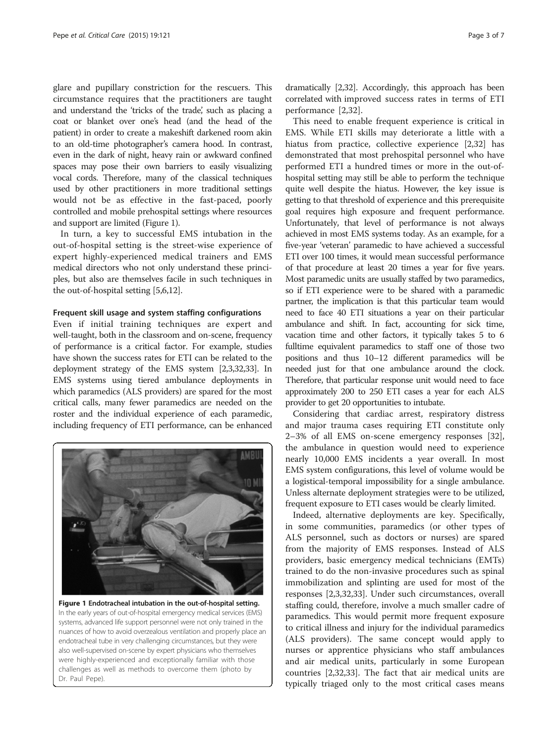glare and pupillary constriction for the rescuers. This circumstance requires that the practitioners are taught and understand the 'tricks of the trade', such as placing a coat or blanket over one's head (and the head of the patient) in order to create a makeshift darkened room akin to an old-time photographer's camera hood. In contrast, even in the dark of night, heavy rain or awkward confined spaces may pose their own barriers to easily visualizing vocal cords. Therefore, many of the classical techniques used by other practitioners in more traditional settings would not be as effective in the fast-paced, poorly controlled and mobile prehospital settings where resources and support are limited (Figure 1).

In turn, a key to successful EMS intubation in the out-of-hospital setting is the street-wise experience of expert highly-experienced medical trainers and EMS medical directors who not only understand these principles, but also are themselves facile in such techniques in the out-of-hospital setting [\[5,6,12\]](#page-5-0).

### Frequent skill usage and system staffing configurations

Even if initial training techniques are expert and well-taught, both in the classroom and on-scene, frequency of performance is a critical factor. For example, studies have shown the success rates for ETI can be related to the deployment strategy of the EMS system [[2,3](#page-5-0)[,32,33](#page-6-0)]. In EMS systems using tiered ambulance deployments in which paramedics (ALS providers) are spared for the most critical calls, many fewer paramedics are needed on the roster and the individual experience of each paramedic, including frequency of ETI performance, can be enhanced



Figure 1 Endotracheal intubation in the out-of-hospital setting. In the early years of out-of-hospital emergency medical services (EMS) systems, advanced life support personnel were not only trained in the nuances of how to avoid overzealous ventilation and properly place an endotracheal tube in very challenging circumstances, but they were also well-supervised on-scene by expert physicians who themselves were highly-experienced and exceptionally familiar with those challenges as well as methods to overcome them (photo by Dr. Paul Pepe).

dramatically [[2](#page-5-0)[,32\]](#page-6-0). Accordingly, this approach has been correlated with improved success rates in terms of ETI performance [[2,](#page-5-0)[32\]](#page-6-0).

This need to enable frequent experience is critical in EMS. While ETI skills may deteriorate a little with a hiatus from practice, collective experience [[2,](#page-5-0)[32\]](#page-6-0) has demonstrated that most prehospital personnel who have performed ETI a hundred times or more in the out-ofhospital setting may still be able to perform the technique quite well despite the hiatus. However, the key issue is getting to that threshold of experience and this prerequisite goal requires high exposure and frequent performance. Unfortunately, that level of performance is not always achieved in most EMS systems today. As an example, for a five-year 'veteran' paramedic to have achieved a successful ETI over 100 times, it would mean successful performance of that procedure at least 20 times a year for five years. Most paramedic units are usually staffed by two paramedics, so if ETI experience were to be shared with a paramedic partner, the implication is that this particular team would need to face 40 ETI situations a year on their particular ambulance and shift. In fact, accounting for sick time, vacation time and other factors, it typically takes 5 to 6 fulltime equivalent paramedics to staff one of those two positions and thus 10–12 different paramedics will be needed just for that one ambulance around the clock. Therefore, that particular response unit would need to face approximately 200 to 250 ETI cases a year for each ALS provider to get 20 opportunities to intubate.

Considering that cardiac arrest, respiratory distress and major trauma cases requiring ETI constitute only 2–3% of all EMS on-scene emergency responses [\[32](#page-6-0)], the ambulance in question would need to experience nearly 10,000 EMS incidents a year overall. In most EMS system configurations, this level of volume would be a logistical-temporal impossibility for a single ambulance. Unless alternate deployment strategies were to be utilized, frequent exposure to ETI cases would be clearly limited.

Indeed, alternative deployments are key. Specifically, in some communities, paramedics (or other types of ALS personnel, such as doctors or nurses) are spared from the majority of EMS responses. Instead of ALS providers, basic emergency medical technicians (EMTs) trained to do the non-invasive procedures such as spinal immobilization and splinting are used for most of the responses [\[2,3](#page-5-0)[,32,33\]](#page-6-0). Under such circumstances, overall staffing could, therefore, involve a much smaller cadre of paramedics. This would permit more frequent exposure to critical illness and injury for the individual paramedics (ALS providers). The same concept would apply to nurses or apprentice physicians who staff ambulances and air medical units, particularly in some European countries [\[2](#page-5-0)[,32,33](#page-6-0)]. The fact that air medical units are typically triaged only to the most critical cases means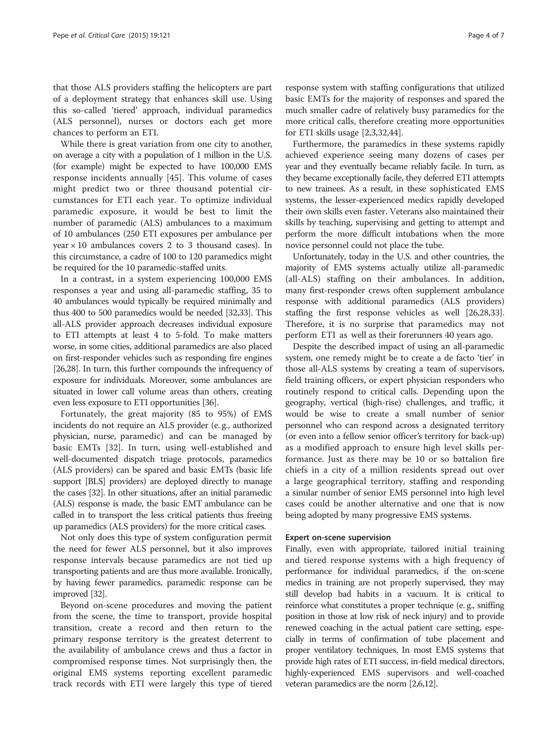that those ALS providers staffing the helicopters are part of a deployment strategy that enhances skill use. Using this so-called 'tiered' approach, individual paramedics (ALS personnel), nurses or doctors each get more chances to perform an ETI.

While there is great variation from one city to another, on average a city with a population of 1 million in the U.S. (for example) might be expected to have 100,000 EMS response incidents annually [[45](#page-6-0)]. This volume of cases might predict two or three thousand potential circumstances for ETI each year. To optimize individual paramedic exposure, it would be best to limit the number of paramedic (ALS) ambulances to a maximum of 10 ambulances (250 ETI exposures per ambulance per year  $\times$  10 ambulances covers 2 to 3 thousand cases). In this circumstance, a cadre of 100 to 120 paramedics might be required for the 10 paramedic-staffed units.

In a contrast, in a system experiencing 100,000 EMS responses a year and using all-paramedic staffing, 35 to 40 ambulances would typically be required minimally and thus 400 to 500 paramedics would be needed [[32,33\]](#page-6-0). This all-ALS provider approach decreases individual exposure to ETI attempts at least 4 to 5-fold. To make matters worse, in some cities, additional paramedics are also placed on first-responder vehicles such as responding fire engines [[26](#page-5-0)[,28\]](#page-6-0). In turn, this further compounds the infrequency of exposure for individuals. Moreover, some ambulances are situated in lower call volume areas than others, creating even less exposure to ETI opportunities [[36](#page-6-0)].

Fortunately, the great majority (85 to 95%) of EMS incidents do not require an ALS provider (e. g., authorized physician, nurse, paramedic) and can be managed by basic EMTs [[32](#page-6-0)]. In turn, using well-established and well-documented dispatch triage protocols, paramedics (ALS providers) can be spared and basic EMTs (basic life support [BLS] providers) are deployed directly to manage the cases [[32](#page-6-0)]. In other situations, after an initial paramedic (ALS) response is made, the basic EMT ambulance can be called in to transport the less critical patients thus freeing up paramedics (ALS providers) for the more critical cases.

Not only does this type of system configuration permit the need for fewer ALS personnel, but it also improves response intervals because paramedics are not tied up transporting patients and are thus more available. Ironically, by having fewer paramedics, paramedic response can be improved [[32](#page-6-0)].

Beyond on-scene procedures and moving the patient from the scene, the time to transport, provide hospital transition, create a record and then return to the primary response territory is the greatest deterrent to the availability of ambulance crews and thus a factor in compromised response times. Not surprisingly then, the original EMS systems reporting excellent paramedic track records with ETI were largely this type of tiered

response system with staffing configurations that utilized basic EMTs for the majority of responses and spared the much smaller cadre of relatively busy paramedics for the more critical calls, therefore creating more opportunities for ETI skills usage [\[2,3](#page-5-0)[,32,44](#page-6-0)].

Furthermore, the paramedics in these systems rapidly achieved experience seeing many dozens of cases per year and they eventually became reliably facile. In turn, as they became exceptionally facile, they deferred ETI attempts to new trainees. As a result, in these sophisticated EMS systems, the lesser-experienced medics rapidly developed their own skills even faster. Veterans also maintained their skills by teaching, supervising and getting to attempt and perform the more difficult intubations when the more novice personnel could not place the tube.

Unfortunately, today in the U.S. and other countries, the majority of EMS systems actually utilize all-paramedic (all-ALS) staffing on their ambulances. In addition, many first-responder crews often supplement ambulance response with additional paramedics (ALS providers) staffing the first response vehicles as well [\[26](#page-5-0)[,28,33](#page-6-0)]. Therefore, it is no surprise that paramedics may not perform ETI as well as their forerunners 40 years ago.

Despite the described impact of using an all-paramedic system, one remedy might be to create a de facto 'tier' in those all-ALS systems by creating a team of supervisors, field training officers, or expert physician responders who routinely respond to critical calls. Depending upon the geography, vertical (high-rise) challenges, and traffic, it would be wise to create a small number of senior personnel who can respond across a designated territory (or even into a fellow senior officer's territory for back-up) as a modified approach to ensure high level skills performance. Just as there may be 10 or so battalion fire chiefs in a city of a million residents spread out over a large geographical territory, staffing and responding a similar number of senior EMS personnel into high level cases could be another alternative and one that is now being adopted by many progressive EMS systems.

### Expert on-scene supervision

Finally, even with appropriate, tailored initial training and tiered response systems with a high frequency of performance for individual paramedics, if the on-scene medics in training are not properly supervised, they may still develop bad habits in a vacuum. It is critical to reinforce what constitutes a proper technique (e. g., sniffing position in those at low risk of neck injury) and to provide renewed coaching in the actual patient care setting, especially in terms of confirmation of tube placement and proper ventilatory techniques. In most EMS systems that provide high rates of ETI success, in-field medical directors, highly-experienced EMS supervisors and well-coached veteran paramedics are the norm [[2,6,12\]](#page-5-0).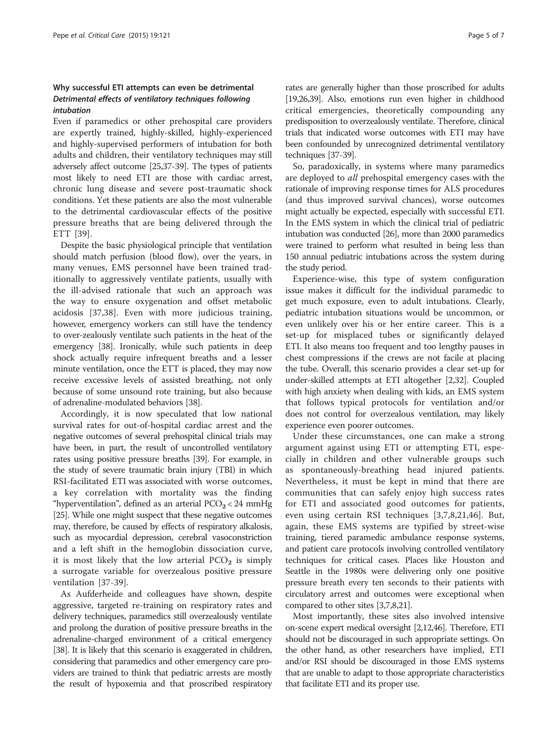# Why successful ETI attempts can even be detrimental Detrimental effects of ventilatory techniques following

Even if paramedics or other prehospital care providers are expertly trained, highly-skilled, highly-experienced and highly-supervised performers of intubation for both adults and children, their ventilatory techniques may still adversely affect outcome [\[25,](#page-5-0)[37](#page-6-0)-[39](#page-6-0)]. The types of patients most likely to need ETI are those with cardiac arrest, chronic lung disease and severe post-traumatic shock conditions. Yet these patients are also the most vulnerable to the detrimental cardiovascular effects of the positive pressure breaths that are being delivered through the ETT [[39\]](#page-6-0).

Despite the basic physiological principle that ventilation should match perfusion (blood flow), over the years, in many venues, EMS personnel have been trained traditionally to aggressively ventilate patients, usually with the ill-advised rationale that such an approach was the way to ensure oxygenation and offset metabolic acidosis [[37,38\]](#page-6-0). Even with more judicious training, however, emergency workers can still have the tendency to over-zealously ventilate such patients in the heat of the emergency [\[38\]](#page-6-0). Ironically, while such patients in deep shock actually require infrequent breaths and a lesser minute ventilation, once the ETT is placed, they may now receive excessive levels of assisted breathing, not only because of some unsound rote training, but also because of adrenaline-modulated behaviors [\[38\]](#page-6-0).

Accordingly, it is now speculated that low national survival rates for out-of-hospital cardiac arrest and the negative outcomes of several prehospital clinical trials may have been, in part, the result of uncontrolled ventilatory rates using positive pressure breaths [\[39](#page-6-0)]. For example, in the study of severe traumatic brain injury (TBI) in which RSI-facilitated ETI was associated with worse outcomes, a key correlation with mortality was the finding "hyperventilation", defined as an arterial  $PCO<sub>2</sub> < 24$  mmHg [[25](#page-5-0)]. While one might suspect that these negative outcomes may, therefore, be caused by effects of respiratory alkalosis, such as myocardial depression, cerebral vasoconstriction and a left shift in the hemoglobin dissociation curve, it is most likely that the low arterial  $PCO<sub>2</sub>$  is simply a surrogate variable for overzealous positive pressure ventilation [[37](#page-6-0)-[39\]](#page-6-0).

As Aufderheide and colleagues have shown, despite aggressive, targeted re-training on respiratory rates and delivery techniques, paramedics still overzealously ventilate and prolong the duration of positive pressure breaths in the adrenaline-charged environment of a critical emergency [[38](#page-6-0)]. It is likely that this scenario is exaggerated in children, considering that paramedics and other emergency care providers are trained to think that pediatric arrests are mostly the result of hypoxemia and that proscribed respiratory

rates are generally higher than those proscribed for adults [[19,26,](#page-5-0)[39\]](#page-6-0). Also, emotions run even higher in childhood critical emergencies, theoretically compounding any predisposition to overzealously ventilate. Therefore, clinical trials that indicated worse outcomes with ETI may have been confounded by unrecognized detrimental ventilatory techniques [\[37-39](#page-6-0)].

So, paradoxically, in systems where many paramedics are deployed to *all* prehospital emergency cases with the rationale of improving response times for ALS procedures (and thus improved survival chances), worse outcomes might actually be expected, especially with successful ETI. In the EMS system in which the clinical trial of pediatric intubation was conducted [[26](#page-5-0)], more than 2000 paramedics were trained to perform what resulted in being less than 150 annual pediatric intubations across the system during the study period.

Experience-wise, this type of system configuration issue makes it difficult for the individual paramedic to get much exposure, even to adult intubations. Clearly, pediatric intubation situations would be uncommon, or even unlikely over his or her entire career. This is a set-up for misplaced tubes or significantly delayed ETI. It also means too frequent and too lengthy pauses in chest compressions if the crews are not facile at placing the tube. Overall, this scenario provides a clear set-up for under-skilled attempts at ETI altogether [[2,](#page-5-0)[32](#page-6-0)]. Coupled with high anxiety when dealing with kids, an EMS system that follows typical protocols for ventilation and/or does not control for overzealous ventilation, may likely experience even poorer outcomes.

Under these circumstances, one can make a strong argument against using ETI or attempting ETI, especially in children and other vulnerable groups such as spontaneously-breathing head injured patients. Nevertheless, it must be kept in mind that there are communities that can safely enjoy high success rates for ETI and associated good outcomes for patients, even using certain RSI techniques [[3,7](#page-5-0),[8,21](#page-5-0),[46\]](#page-6-0). But, again, these EMS systems are typified by street-wise training, tiered paramedic ambulance response systems, and patient care protocols involving controlled ventilatory techniques for critical cases. Places like Houston and Seattle in the 1980s were delivering only one positive pressure breath every ten seconds to their patients with circulatory arrest and outcomes were exceptional when compared to other sites [[3,7,8,21](#page-5-0)].

Most importantly, these sites also involved intensive on-scene expert medical oversight [[2,12,](#page-5-0)[46](#page-6-0)]. Therefore, ETI should not be discouraged in such appropriate settings. On the other hand, as other researchers have implied, ETI and/or RSI should be discouraged in those EMS systems that are unable to adapt to those appropriate characteristics that facilitate ETI and its proper use.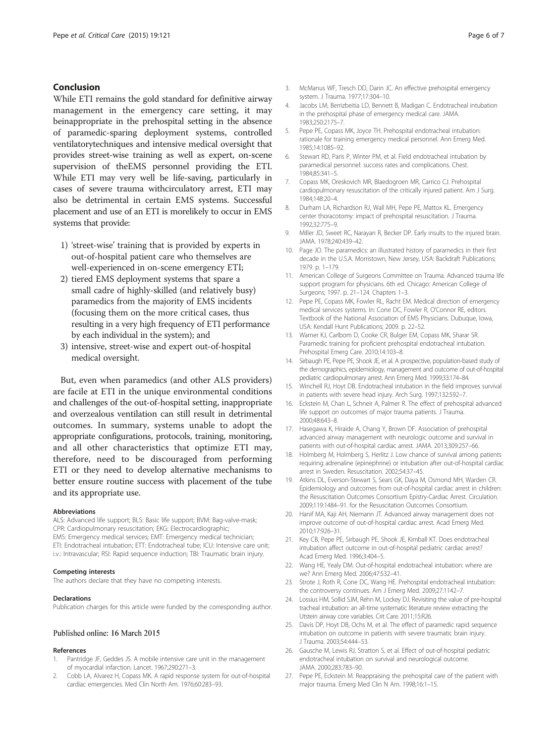### <span id="page-5-0"></span>Conclusion

While ETI remains the gold standard for definitive airway management in the emergency care setting, it may beinappropriate in the prehospital setting in the absence of paramedic-sparing deployment systems, controlled ventilatorytechniques and intensive medical oversight that provides street-wise training as well as expert, on-scene supervision of theEMS personnel providing the ETI. While ETI may very well be life-saving, particularly in cases of severe trauma withcirculatory arrest, ETI may also be detrimental in certain EMS systems. Successful placement and use of an ETI is morelikely to occur in EMS systems that provide:

- 1) 'street-wise' training that is provided by experts in out-of-hospital patient care who themselves are well-experienced in on-scene emergency ETI;
- 2) tiered EMS deployment systems that spare a small cadre of highly-skilled (and relatively busy) paramedics from the majority of EMS incidents (focusing them on the more critical cases, thus resulting in a very high frequency of ETI performance by each individual in the system); and
- 3) intensive, street-wise and expert out-of-hospital medical oversight.

But, even when paramedics (and other ALS providers) are facile at ETI in the unique environmental conditions and challenges of the out-of-hospital setting, inappropriate and overzealous ventilation can still result in detrimental outcomes. In summary, systems unable to adopt the appropriate configurations, protocols, training, monitoring, and all other characteristics that optimize ETI may, therefore, need to be discouraged from performing ETI or they need to develop alternative mechanisms to better ensure routine success with placement of the tube and its appropriate use.

#### Abbreviations

ALS: Advanced life support; BLS: Basic life support; BVM: Bag-valve-mask; CPR: Cardiopulmonary resuscitation; EKG: Electrocardiographic; EMS: Emergency medical services; EMT: Emergency medical technician; ETI: Endotracheal intubation; ETT: Endotracheal tube; ICU: Intensive care unit; i.v.: Intravascular; RSI: Rapid sequence induction; TBI: Traumatic brain injury.

### Competing interests

The authors declare that they have no competing interests.

### Declarations

Publication charges for this article were funded by the corresponding author.

### Published online: 16 March 2015

### References

- Pantridge JF, Geddes JS. A mobile intensive care unit in the management of myocardial infarction. Lancet. 1967;290:271–3.
- 2. Cobb LA, Alvarez H, Copass MK. A rapid response system for out-of-hospital cardiac emergencies. Med Clin North Am. 1976;60:283–93.
- 3. McManus WF, Tresch DD, Darin JC. An effective prehospital emergency system. J Trauma. 1977;17:304–10.
- 4. Jacobs LM, Berrizbeitia LD, Bennett B, Madigan C. Endotracheal intubation in the prehospital phase of emergency medical care. JAMA. 1983;250:2175–7.
- 5. Pepe PE, Copass MK, Joyce TH. Prehospital endotracheal intubation: rationale for training emergency medical personnel. Ann Emerg Med. 1985;14:1085–92.
- 6. Stewart RD, Paris P, Winter PM, et al. Field endotracheal intubation by paramedical personnel: success rates and complications. Chest. 1984;85:341–5.
- 7. Copass MK, Oreskovich MR, Blaedogroen MR, Carrico CJ. Prehospital cardiopulmonary resuscitation of the critically injured patient. Am J Surg. 1984;148:20–4.
- 8. Durham LA, Richardson RJ, Wall MH, Pepe PE, Mattox KL. Emergency center thoracotomy: impact of prehospital resuscitation. J Trauma. 1992;32:775–9.
- 9. Miller JD, Sweet RC, Narayan R, Becker DP. Early insults to the injured brain. JAMA. 1978;240:439–42.
- 10. Page JO. The paramedics: an illustrated history of paramedics in their first decade in the U.S.A. Morristown, New Jersey, USA: Backdraft Publications; 1979. p. 1–179.
- 11. American College of Surgeons Committee on Trauma. Advanced trauma life support program for physicians. 6th ed. Chicago: American College of Surgeons; 1997. p. 21–124. Chapters 1–3.
- 12. Pepe PE, Copass MK, Fowler RL, Racht EM. Medical direction of emergency medical services systems. In: Cone DC, Fowler R, O'Connor RE, editors. Textbook of the National Association of EMS Physicians. Dubuque, Iowa, USA: Kendall Hunt Publications; 2009. p. 22–52.
- 13. Warner KJ, Carlbom D, Cooke CR, Bulger EM, Copass MK, Sharar SR. Paramedic training for proficient prehospital endotracheal intubation. Prehospital Emerg Care. 2010;14:103–8.
- 14. Sirbaugh PE, Pepe PE, Shook JE, et al. A prospective, population-based study of the demographics, epidemiology, management and outcome of out-of-hospital pediatric cardiopulmonary arrest. Ann Emerg Med. 1999;33:174–84.
- 15. Winchell RJ, Hoyt DB. Endotracheal intubation in the field improves survival in patients with severe head injury. Arch Surg. 1997;132:592–7.
- 16. Eckstein M, Chan L, Schneir A, Palmer R. The effect of prehospital advanced life support on outcomes of major trauma patients. J Trauma. 2000;48:643–8.
- 17. Hasegawa K, Hiraide A, Chang Y, Brown DF. Association of prehospital advanced airway management with neurologic outcome and survival in patients with out-of-hospital cardiac arrest. JAMA. 2013;309:257–66.
- 18. Holmberg M, Holmberg S, Herlitz J. Low chance of survival among patients requiring adrenaline (epinephrine) or intubation after out-of-hospital cardiac arrest in Sweden. Resuscitation. 2002;54:37–45.
- 19. Atkins DL, Everson-Stewart S, Sears GK, Daya M, Osmond MH, Warden CR. Epidemiology and outcomes from out-of-hospital cardiac arrest in children: the Resuscitation Outcomes Consortium Epistry-Cardiac Arrest. Circulation. 2009;119:1484–91. for the Resuscitation Outcomes Consortium.
- 20. Hanif MA, Kaji AH, Niemann JT. Advanced airway management does not improve outcome of out-of-hospital cardiac arrest. Acad Emerg Med. 2010;17:926–31.
- 21. Key CB, Pepe PE, Sirbaugh PE, Shook JE, Kimball KT. Does endotracheal intubation affect outcome in out-of-hospital pediatric cardiac arrest? Acad Emerg Med. 1996;3:404–5.
- 22. Wang HE, Yealy DM. Out-of-hospital endotracheal intubation: where are we? Ann Emerg Med. 2006;47:532–41.
- 23. Strote J, Roth R, Cone DC, Wang HE. Prehospital endotracheal intubation: the controversy continues. Am J Emerg Med. 2009;27:1142–7.
- 24. Lossius HM, Sollid SJM, Rehn M, Lockey DJ. Revisiting the value of pre-hospital tracheal intubation: an all-time systematic literature review extracting the Utstein airway core variables. Crit Care. 2011;15:R26.
- 25. Davis DP, Hoyt DB, Ochs M, et al. The effect of paramedic rapid sequence intubation on outcome in patients with severe traumatic brain injury. J Trauma. 2003;54:444–53.
- 26. Gausche M, Lewis RJ, Stratton S, et al. Effect of out-of-hospital pediatric endotracheal intubation on survival and neurological outcome. JAMA. 2000;283:783–90.
- 27. Pepe PE, Eckstein M. Reappraising the prehospital care of the patient with major trauma. Emerg Med Clin N Am. 1998;16:1–15.